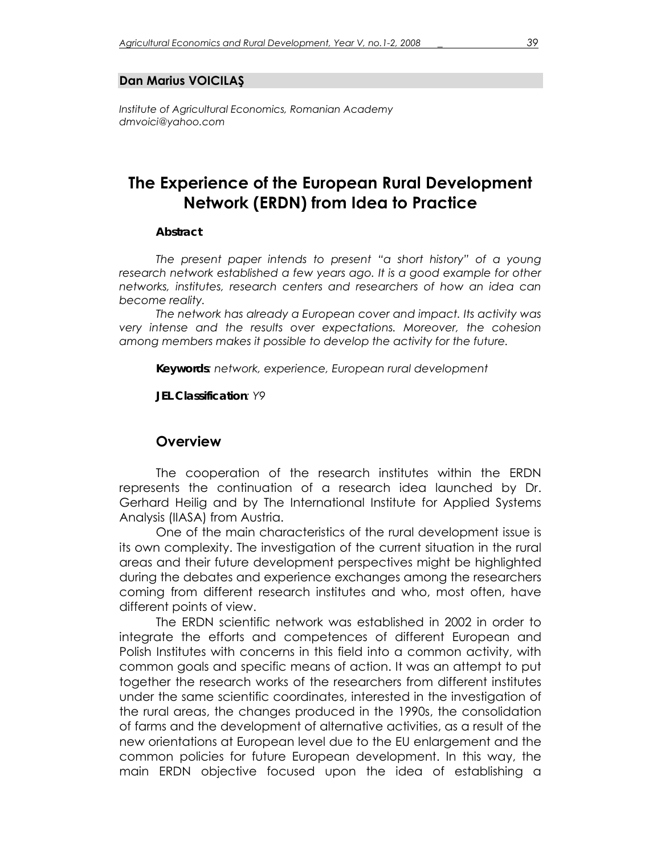#### **Dan Marius VOICILAŞ**

*Institute of Agricultural Economics, Romanian Academy dmvoici@yahoo.com* 

# **The Experience of the European Rural Development Network (ERDN) from Idea to Practice**

#### *Abstract*

*The present paper intends to present "a short history" of a young*  research network established a few years ago. It is a good example for other *networks, institutes, research centers and researchers of how an idea can become reality.* 

*The network has already a European cover and impact. Its activity was very intense and the results over expectations. Moreover, the cohesion among members makes it possible to develop the activity for the future.* 

*Keywords: network, experience, European rural development* 

*JEL Classification: Y9* 

#### **Overview**

The cooperation of the research institutes within the ERDN represents the continuation of a research idea launched by Dr. Gerhard Heilig and by The International Institute for Applied Systems Analysis (IIASA) from Austria.

One of the main characteristics of the rural development issue is its own complexity. The investigation of the current situation in the rural areas and their future development perspectives might be highlighted during the debates and experience exchanges among the researchers coming from different research institutes and who, most often, have different points of view.

 The ERDN scientific network was established in 2002 in order to integrate the efforts and competences of different European and Polish Institutes with concerns in this field into a common activity, with common goals and specific means of action. It was an attempt to put together the research works of the researchers from different institutes under the same scientific coordinates, interested in the investigation of the rural areas, the changes produced in the 1990s, the consolidation of farms and the development of alternative activities, as a result of the new orientations at European level due to the EU enlargement and the common policies for future European development. In this way, the main ERDN objective focused upon the idea of establishing a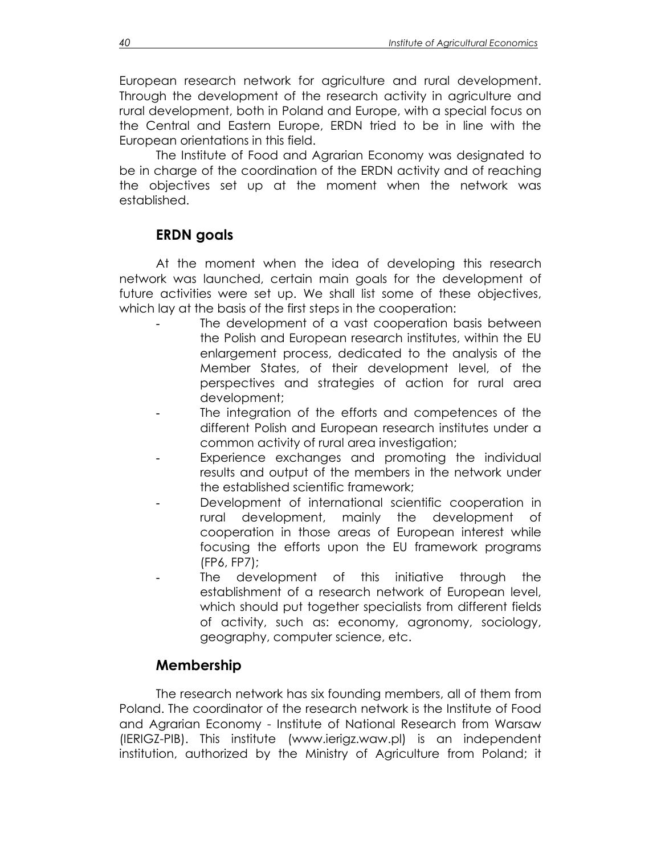European research network for agriculture and rural development. Through the development of the research activity in agriculture and rural development, both in Poland and Europe, with a special focus on the Central and Eastern Europe, ERDN tried to be in line with the European orientations in this field.

The Institute of Food and Agrarian Economy was designated to be in charge of the coordination of the ERDN activity and of reaching the objectives set up at the moment when the network was established.

### **ERDN goals**

At the moment when the idea of developing this research network was launched, certain main goals for the development of future activities were set up. We shall list some of these objectives, which lay at the basis of the first steps in the cooperation:

- The development of a vast cooperation basis between the Polish and European research institutes, within the EU enlargement process, dedicated to the analysis of the Member States, of their development level, of the perspectives and strategies of action for rural area development;
- The integration of the efforts and competences of the different Polish and European research institutes under a common activity of rural area investigation;
- Experience exchanges and promoting the individual results and output of the members in the network under the established scientific framework;
- Development of international scientific cooperation in rural development, mainly the development of cooperation in those areas of European interest while focusing the efforts upon the EU framework programs (FP6, FP7);
	- The development of this initiative through the establishment of a research network of European level, which should put together specialists from different fields of activity, such as: economy, agronomy, sociology, geography, computer science, etc.

# **Membership**

The research network has six founding members, all of them from Poland. The coordinator of the research network is the Institute of Food and Agrarian Economy - Institute of National Research from Warsaw (IERIGZ-PIB). This institute (www.ierigz.waw.pl) is an independent institution, authorized by the Ministry of Agriculture from Poland; it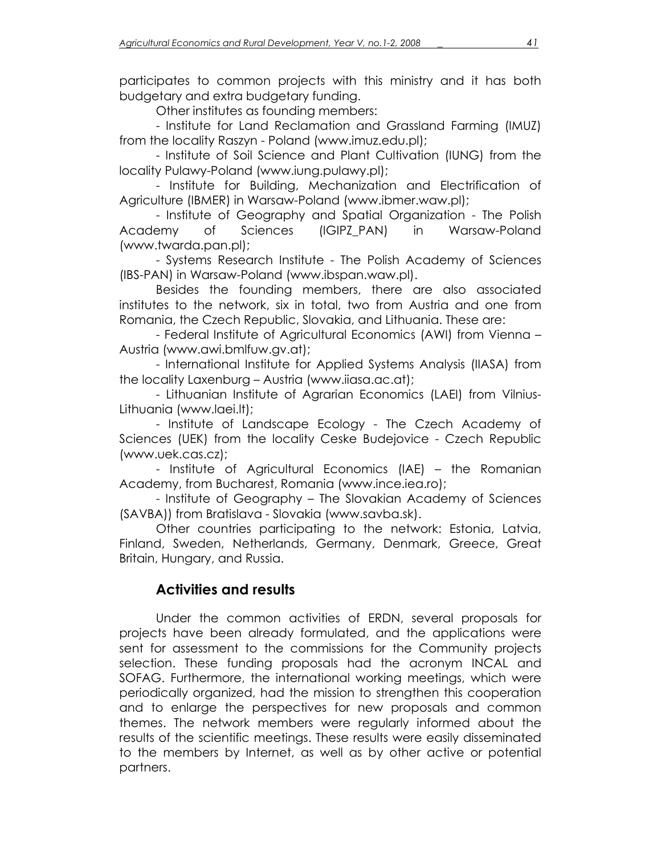participates to common projects with this ministry and it has both budgetary and extra budgetary funding.

Other institutes as founding members:

 - Institute for Land Reclamation and Grassland Farming (IMUZ) from the locality Raszyn - Poland (www.imuz.edu.pl);

 - Institute of Soil Science and Plant Cultivation (IUNG) from the locality Pulawy-Poland (www.iung.pulawy.pl);

 - Institute for Building, Mechanization and Electrification of Agriculture (IBMER) in Warsaw-Poland (www.ibmer.waw.pl);

 - Institute of Geography and Spatial Organization - The Polish Academy of Sciences (IGIPZ\_PAN) in Warsaw-Poland (www.twarda.pan.pl);

 - Systems Research Institute - The Polish Academy of Sciences (IBS-PAN) in Warsaw-Poland (www.ibspan.waw.pl).

 Besides the founding members, there are also associated institutes to the network, six in total, two from Austria and one from Romania, the Czech Republic, Slovakia, and Lithuania. These are:

 - Federal Institute of Agricultural Economics (AWI) from Vienna – Austria (www.awi.bmlfuw.gv.at);

 - International Institute for Applied Systems Analysis (IIASA) from the locality Laxenburg – Austria (www.iiasa.ac.at);

 - Lithuanian Institute of Agrarian Economics (LAEI) from Vilnius-Lithuania (www.laei.lt);

 - Institute of Landscape Ecology - The Czech Academy of Sciences (UEK) from the locality Ceske Budejovice - Czech Republic (www.uek.cas.cz);

 - Institute of Agricultural Economics (IAE) – the Romanian Academy, from Bucharest, Romania (www.ince.iea.ro);

 - Institute of Geography – The Slovakian Academy of Sciences (SAVBA)) from Bratislava - Slovakia (www.savba.sk).

 Other countries participating to the network: Estonia, Latvia, Finland, Sweden, Netherlands, Germany, Denmark, Greece, Great Britain, Hungary, and Russia.

# **Activities and results**

Under the common activities of ERDN, several proposals for projects have been already formulated, and the applications were sent for assessment to the commissions for the Community projects selection. These funding proposals had the acronym INCAL and SOFAG. Furthermore, the international working meetings, which were periodically organized, had the mission to strengthen this cooperation and to enlarge the perspectives for new proposals and common themes. The network members were regularly informed about the results of the scientific meetings. These results were easily disseminated to the members by Internet, as well as by other active or potential partners.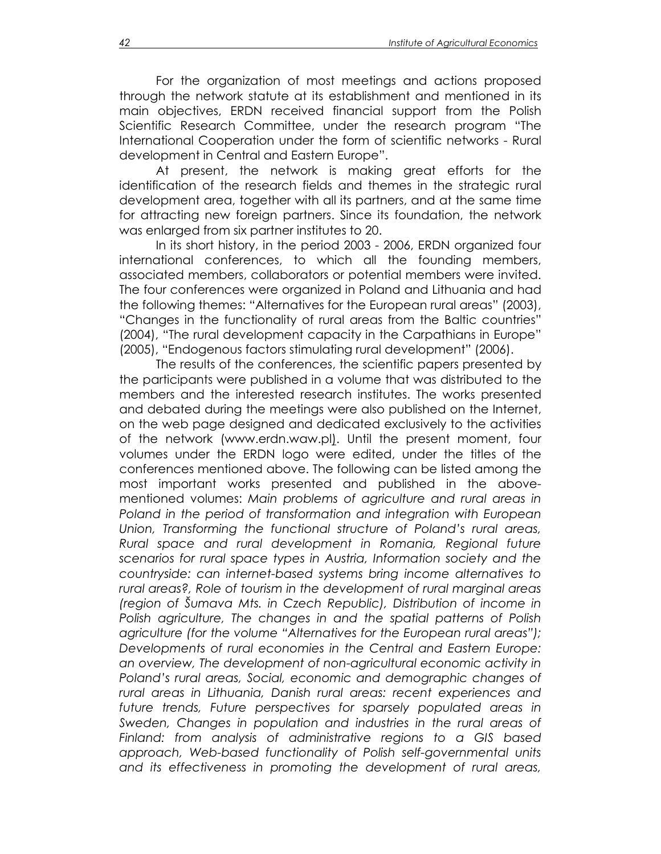For the organization of most meetings and actions proposed through the network statute at its establishment and mentioned in its main objectives, ERDN received financial support from the Polish Scientific Research Committee, under the research program "The International Cooperation under the form of scientific networks - Rural development in Central and Eastern Europe".

At present, the network is making great efforts for the identification of the research fields and themes in the strategic rural development area, together with all its partners, and at the same time for attracting new foreign partners. Since its foundation, the network was enlarged from six partner institutes to 20.

In its short history, in the period 2003 - 2006, ERDN organized four international conferences, to which all the founding members, associated members, collaborators or potential members were invited. The four conferences were organized in Poland and Lithuania and had the following themes: "Alternatives for the European rural areas" (2003), "Changes in the functionality of rural areas from the Baltic countries" (2004), "The rural development capacity in the Carpathians in Europe" (2005), "Endogenous factors stimulating rural development" (2006).

The results of the conferences, the scientific papers presented by the participants were published in a volume that was distributed to the members and the interested research institutes. The works presented and debated during the meetings were also published on the Internet, on the web page designed and dedicated exclusively to the activities of the network (www.erdn.waw.pl). Until the present moment, four volumes under the ERDN logo were edited, under the titles of the conferences mentioned above. The following can be listed among the most important works presented and published in the abovementioned volumes: *Main problems of agriculture and rural areas in Poland in the period of transformation and integration with European Union, Transforming the functional structure of Poland's rural areas, Rural space and rural development in Romania, Regional future scenarios for rural space types in Austria, Information society and the countryside: can internet-based systems bring income alternatives to rural areas?, Role of tourism in the development of rural marginal areas (region of Šumava Mts. in Czech Republic), Distribution of income in Polish agriculture, The changes in and the spatial patterns of Polish agriculture (for the volume "Alternatives for the European rural areas"); Developments of rural economies in the Central and Eastern Europe: an overview, The development of non-agricultural economic activity in Poland's rural areas, Social, economic and demographic changes of rural areas in Lithuania, Danish rural areas: recent experiences and future trends, Future perspectives for sparsely populated areas in Sweden, Changes in population and industries in the rural areas of Finland: from analysis of administrative regions to a GIS based approach, Web-based functionality of Polish self-governmental units and its effectiveness in promoting the development of rural areas,*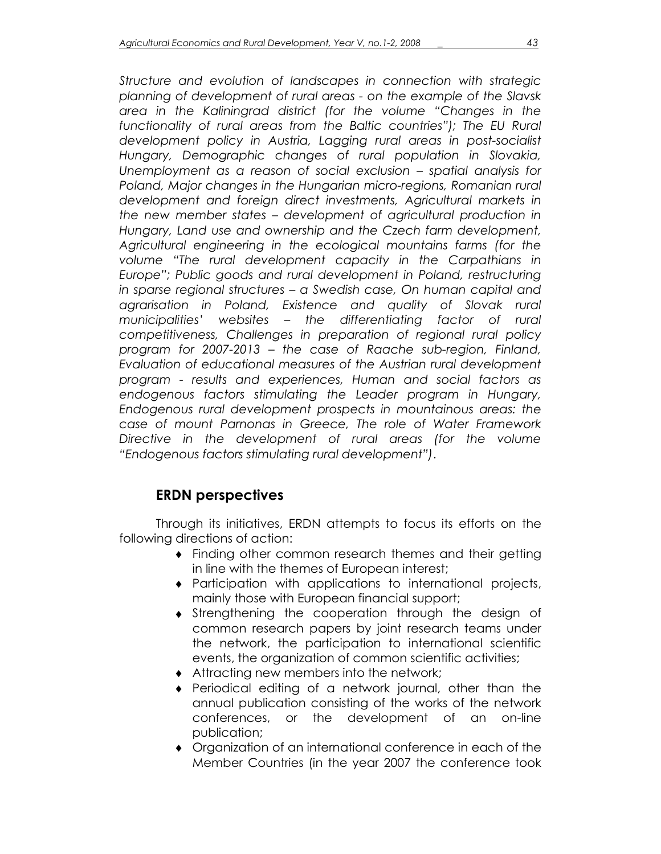*Structure and evolution of landscapes in connection with strategic planning of development of rural areas - on the example of the Slavsk area in the Kaliningrad district (for the volume "Changes in the*  functionality of rural areas from the Baltic countries"); The EU Rural *development policy in Austria, Lagging rural areas in post-socialist Hungary, Demographic changes of rural population in Slovakia, Unemployment as a reason of social exclusion – spatial analysis for Poland, Major changes in the Hungarian micro-regions, Romanian rural development and foreign direct investments, Agricultural markets in the new member states – development of agricultural production in Hungary, Land use and ownership and the Czech farm development, Agricultural engineering in the ecological mountains farms (for the volume "The rural development capacity in the Carpathians in Europe"; Public goods and rural development in Poland, restructuring in sparse regional structures – a Swedish case, On human capital and agrarisation in Poland, Existence and quality of Slovak rural municipalities' websites – the differentiating factor of rural competitiveness, Challenges in preparation of regional rural policy program for 2007-2013 – the case of Raache sub-region, Finland, Evaluation of educational measures of the Austrian rural development program - results and experiences, Human and social factors as endogenous factors stimulating the Leader program in Hungary, Endogenous rural development prospects in mountainous areas: the case of mount Parnonas in Greece, The role of Water Framework Directive in the development of rural areas (for the volume "Endogenous factors stimulating rural development")*.

# **ERDN perspectives**

Through its initiatives, ERDN attempts to focus its efforts on the following directions of action:

- ♦ Finding other common research themes and their getting in line with the themes of European interest;
- ♦ Participation with applications to international projects, mainly those with European financial support;
- ♦ Strengthening the cooperation through the design of common research papers by joint research teams under the network, the participation to international scientific events, the organization of common scientific activities;
- ♦ Attracting new members into the network;
- ♦ Periodical editing of a network journal, other than the annual publication consisting of the works of the network conferences, or the development of an on-line publication;
- ♦ Organization of an international conference in each of the Member Countries (in the year 2007 the conference took